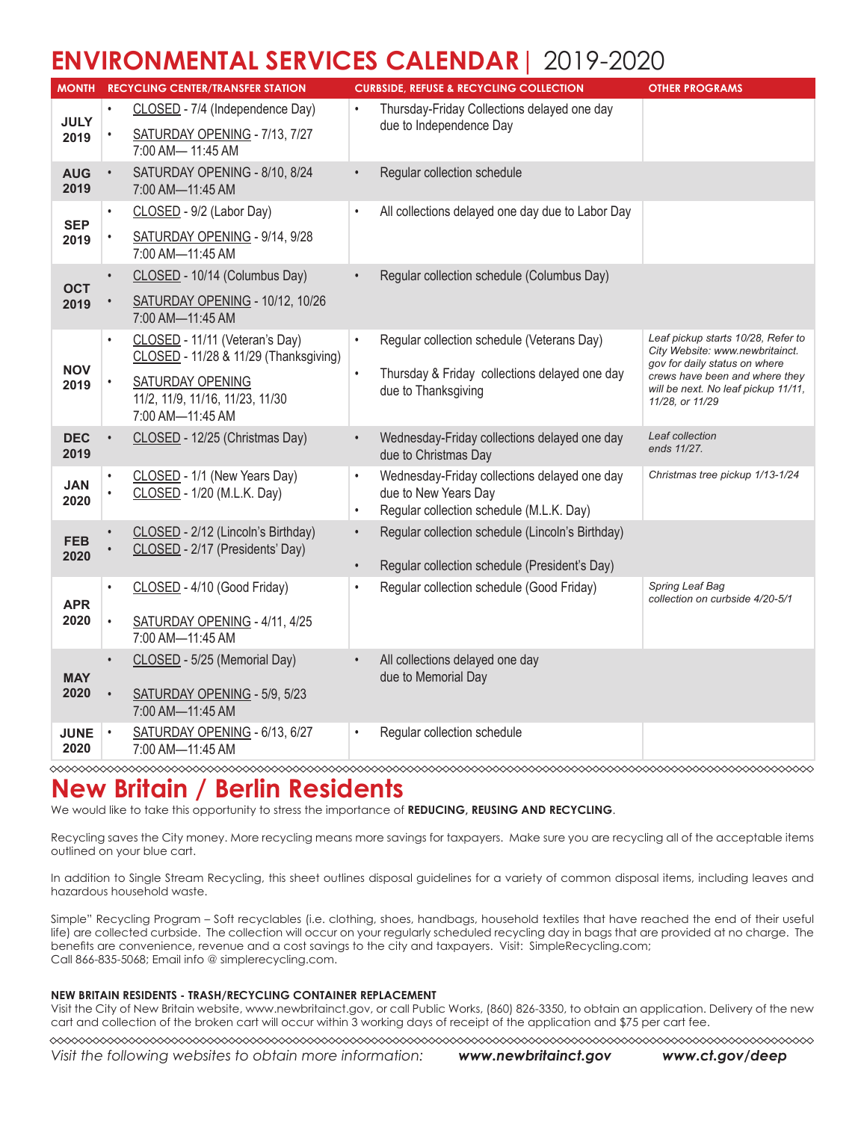## **ENVIRONMENTAL SERVICES CALENDAR**| 2019-2020

| <b>MONTH</b>        |           | <b>RECYCLING CENTER/TRANSFER STATION</b>                                              |           | <b>CURBSIDE, REFUSE &amp; RECYCLING COLLECTION</b>                     | <b>OTHER PROGRAMS</b>                                                                                  |
|---------------------|-----------|---------------------------------------------------------------------------------------|-----------|------------------------------------------------------------------------|--------------------------------------------------------------------------------------------------------|
| <b>JULY</b><br>2019 |           | CLOSED - 7/4 (Independence Day)<br>SATURDAY OPENING - 7/13, 7/27<br>7:00 AM- 11:45 AM |           | Thursday-Friday Collections delayed one day<br>due to Independence Day |                                                                                                        |
|                     |           |                                                                                       |           |                                                                        |                                                                                                        |
| <b>AUG</b><br>2019  | $\bullet$ | SATURDAY OPENING - 8/10, 8/24<br>7:00 AM-11:45 AM                                     |           | Regular collection schedule                                            |                                                                                                        |
| <b>SEP</b>          |           | CLOSED - 9/2 (Labor Day)                                                              | $\bullet$ | All collections delayed one day due to Labor Day                       |                                                                                                        |
| 2019                |           | SATURDAY OPENING - 9/14, 9/28<br>7:00 AM-11:45 AM                                     |           |                                                                        |                                                                                                        |
| <b>OCT</b><br>2019  |           | CLOSED - 10/14 (Columbus Day)                                                         |           | Regular collection schedule (Columbus Day)                             |                                                                                                        |
|                     |           | SATURDAY OPENING - 10/12, 10/26<br>7:00 AM-11:45 AM                                   |           |                                                                        |                                                                                                        |
|                     |           | CLOSED - 11/11 (Veteran's Day)<br>CLOSED - 11/28 & 11/29 (Thanksgiving)               | $\bullet$ | Regular collection schedule (Veterans Day)                             | Leaf pickup starts 10/28, Refer to<br>City Website: www.newbritainct.<br>gov for daily status on where |
| <b>NOV</b><br>2019  |           | SATURDAY OPENING<br>11/2, 11/9, 11/16, 11/23, 11/30<br>7:00 AM-11:45 AM               |           | Thursday & Friday collections delayed one day<br>due to Thanksgiving   | crews have been and where they<br>will be next. No leaf pickup 11/11,<br>11/28, or 11/29               |
| <b>DEC</b><br>2019  |           | CLOSED - 12/25 (Christmas Day)                                                        |           | Wednesday-Friday collections delayed one day<br>due to Christmas Day   | Leaf collection<br>ends 11/27.                                                                         |
| <b>JAN</b>          |           | CLOSED - 1/1 (New Years Day)<br>CLOSED - 1/20 (M.L.K. Day)                            |           | Wednesday-Friday collections delayed one day<br>due to New Years Day   | Christmas tree pickup 1/13-1/24                                                                        |
| 2020                |           |                                                                                       | $\bullet$ | Regular collection schedule (M.L.K. Day)                               |                                                                                                        |
| <b>FEB</b>          |           | CLOSED - 2/12 (Lincoln's Birthday)                                                    |           | Regular collection schedule (Lincoln's Birthday)                       |                                                                                                        |
| 2020                |           | CLOSED - 2/17 (Presidents' Day)                                                       |           | Regular collection schedule (President's Day)                          |                                                                                                        |
| <b>APR</b><br>2020  |           | CLOSED - 4/10 (Good Friday)                                                           | $\bullet$ | Regular collection schedule (Good Friday)                              | Spring Leaf Bag<br>collection on curbside 4/20-5/1                                                     |
|                     |           | SATURDAY OPENING - 4/11, 4/25                                                         |           |                                                                        |                                                                                                        |
|                     |           | 7:00 AM-11:45 AM                                                                      |           |                                                                        |                                                                                                        |
|                     |           | CLOSED - 5/25 (Memorial Day)                                                          |           | All collections delayed one day                                        |                                                                                                        |
| <b>MAY</b><br>2020  |           | SATURDAY OPENING - 5/9, 5/23<br>7:00 AM-11:45 AM                                      |           | due to Memorial Day                                                    |                                                                                                        |
| <b>JUNE</b><br>2020 | $\bullet$ | SATURDAY OPENING - 6/13, 6/27<br>7:00 AM-11:45 AM                                     | $\bullet$ | Regular collection schedule                                            |                                                                                                        |

### **New Britain / Berlin Residents**

We would like to take this opportunity to stress the importance of **REDUCING, REUSING AND RECYCLING**.

Recycling saves the City money. More recycling means more savings for taxpayers. Make sure you are recycling all of the acceptable items outlined on your blue cart.

In addition to Single Stream Recycling, this sheet outlines disposal guidelines for a variety of common disposal items, including leaves and hazardous household waste.

Simple" Recycling Program – Soft recyclables (i.e. clothing, shoes, handbags, household textiles that have reached the end of their useful life) are collected curbside. The collection will occur on your regularly scheduled recycling day in bags that are provided at no charge. The benefits are convenience, revenue and a cost savings to the city and taxpayers. Visit: SimpleRecycling.com; Call 866-835-5068; Email info @ simplerecycling.com.

#### **NEW BRITAIN RESIDENTS - TRASH/RECYCLING CONTAINER REPLACEMENT**

Visit the City of New Britain website, www.newbritainct.gov, or call Public Works, (860) 826-3350, to obtain an application. Delivery of the new cart and collection of the broken cart will occur within 3 working days of receipt of the application and \$75 per cart fee.

*Visit the following websites to obtain more information: www.newbritainct.gov www.ct.gov/deep*